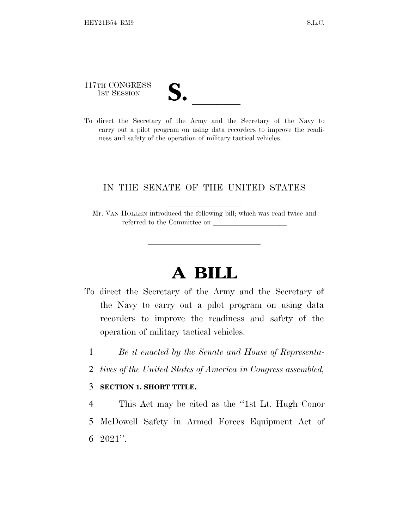117TH CONGRESS

- 
- 117TH CONGRESS<br>
1ST SESSION<br>
To direct the Secretary of the Army and the Secretary of the Navy to carry out a pilot program on using data recorders to improve the readiness and safety of the operation of military tactical vehicles.

## IN THE SENATE OF THE UNITED STATES

Mr. VAN HOLLEN introduced the following bill; which was read twice and referred to the Committee on

## **A BILL**

- To direct the Secretary of the Army and the Secretary of the Navy to carry out a pilot program on using data recorders to improve the readiness and safety of the operation of military tactical vehicles.
	- 1 *Be it enacted by the Senate and House of Representa-*
	- 2 *tives of the United States of America in Congress assembled,*

## 3 **SECTION 1. SHORT TITLE.**

4 This Act may be cited as the ''1st Lt. Hugh Conor 5 McDowell Safety in Armed Forces Equipment Act of 6  $2021$ ".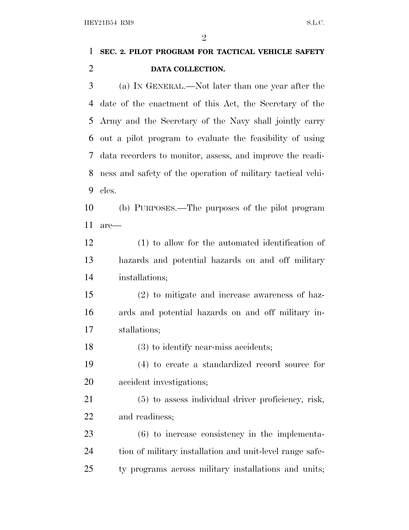| HEY21B54 RM9<br>S.L.C. |                                                             |
|------------------------|-------------------------------------------------------------|
|                        | $\overline{2}$                                              |
| $\mathbf{1}$           | SEC. 2. PILOT PROGRAM FOR TACTICAL VEHICLE SAFETY           |
| $\overline{2}$         | DATA COLLECTION.                                            |
| 3                      | (a) IN GENERAL.—Not later than one year after the           |
| $\overline{4}$         | date of the enactment of this Act, the Secretary of the     |
| 5                      | Army and the Secretary of the Navy shall jointly carry      |
| 6                      | out a pilot program to evaluate the feasibility of using    |
| 7                      | data recorders to monitor, assess, and improve the readi-   |
| 8                      | ness and safety of the operation of military tactical vehi- |
| 9                      | cles.                                                       |
| 10                     | (b) PURPOSES.—The purposes of the pilot program             |
| 11                     | are—                                                        |
| 12                     | $(1)$ to allow for the automated identification of          |
| 13                     | hazards and potential hazards on and off military           |
| 14                     | installations;                                              |
| 15                     | $(2)$ to mitigate and increase awareness of haz-            |
| 16                     | ards and potential hazards on and off military in-          |
| 17                     | stallations;                                                |
| 18                     | $(3)$ to identify near-miss accidents;                      |
| 19                     | (4) to create a standardized record source for              |
| 20                     | accident investigations;                                    |
| 21                     | (5) to assess individual driver proficiency, risk,          |

and readiness;

 (6) to increase consistency in the implementa- tion of military installation and unit-level range safe-ty programs across military installations and units;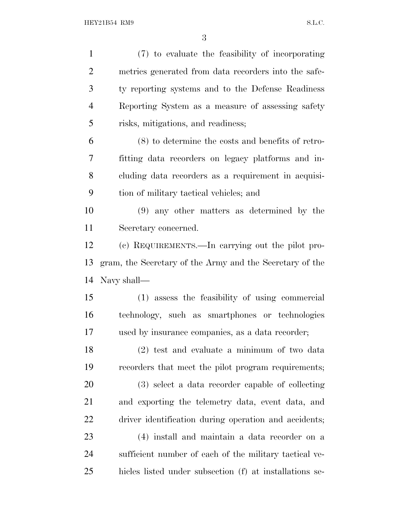(7) to evaluate the feasibility of incorporating metrics generated from data recorders into the safe- ty reporting systems and to the Defense Readiness Reporting System as a measure of assessing safety risks, mitigations, and readiness; (8) to determine the costs and benefits of retro- fitting data recorders on legacy platforms and in- cluding data recorders as a requirement in acquisi- tion of military tactical vehicles; and (9) any other matters as determined by the Secretary concerned. (c) REQUIREMENTS.—In carrying out the pilot pro- gram, the Secretary of the Army and the Secretary of the Navy shall— (1) assess the feasibility of using commercial technology, such as smartphones or technologies used by insurance companies, as a data recorder; (2) test and evaluate a minimum of two data recorders that meet the pilot program requirements; (3) select a data recorder capable of collecting and exporting the telemetry data, event data, and driver identification during operation and accidents; (4) install and maintain a data recorder on a sufficient number of each of the military tactical ve-hicles listed under subsection (f) at installations se-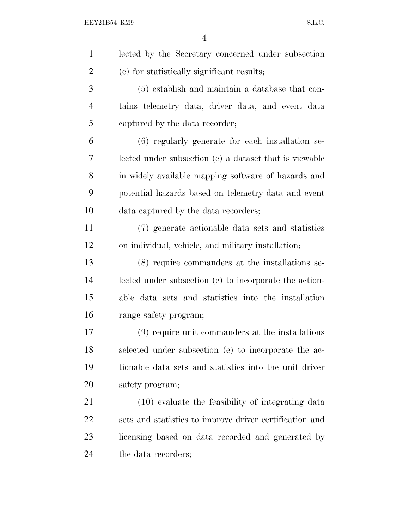| $\mathbf{1}$   | lected by the Secretary concerned under subsection      |
|----------------|---------------------------------------------------------|
| $\overline{2}$ | (e) for statistically significant results;              |
| 3              | (5) establish and maintain a database that con-         |
| 4              | tains telemetry data, driver data, and event data       |
| 5              | captured by the data recorder;                          |
| 6              | (6) regularly generate for each installation se-        |
| 7              | lected under subsection (e) a dataset that is viewable  |
| 8              | in widely available mapping software of hazards and     |
| 9              | potential hazards based on telemetry data and event     |
| 10             | data captured by the data recorders;                    |
| 11             | (7) generate actionable data sets and statistics        |
| 12             | on individual, vehicle, and military installation;      |
| 13             | (8) require commanders at the installations se-         |
| 14             | lected under subsection (e) to incorporate the action-  |
| 15             | able data sets and statistics into the installation     |
| 16             | range safety program;                                   |
| 17             | (9) require unit commanders at the installations        |
| 18             | selected under subsection (e) to incorporate the ac-    |
| 19             | tionable data sets and statistics into the unit driver  |
| 20             | safety program;                                         |
| 21             | (10) evaluate the feasibility of integrating data       |
| 22             | sets and statistics to improve driver certification and |
| 23             | licensing based on data recorded and generated by       |
| 24             | the data recorders;                                     |
|                |                                                         |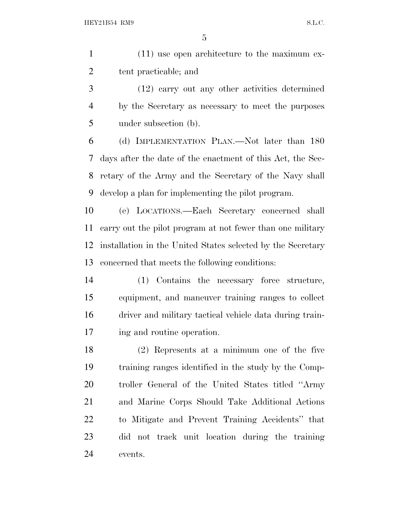| $(11)$ use open architecture to the maximum ex- |
|-------------------------------------------------|
| tent practicable; and                           |

 (12) carry out any other activities determined by the Secretary as necessary to meet the purposes under subsection (b).

 (d) IMPLEMENTATION PLAN.—Not later than 180 days after the date of the enactment of this Act, the Sec- retary of the Army and the Secretary of the Navy shall develop a plan for implementing the pilot program.

 (e) LOCATIONS.—Each Secretary concerned shall carry out the pilot program at not fewer than one military installation in the United States selected by the Secretary concerned that meets the following conditions:

 (1) Contains the necessary force structure, equipment, and maneuver training ranges to collect driver and military tactical vehicle data during train-ing and routine operation.

 (2) Represents at a minimum one of the five training ranges identified in the study by the Comp- troller General of the United States titled ''Army and Marine Corps Should Take Additional Actions to Mitigate and Prevent Training Accidents'' that did not track unit location during the training events.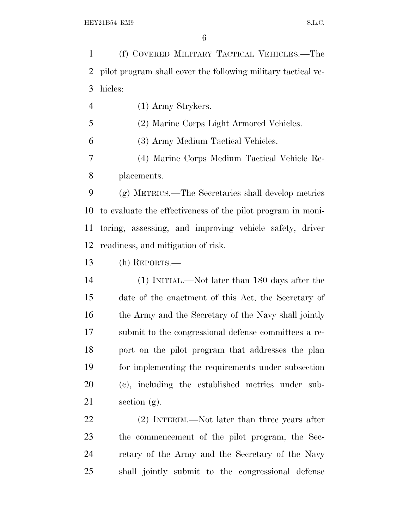(f) COVERED MILITARY TACTICAL VEHICLES.—The pilot program shall cover the following military tactical ve-hicles:

(1) Army Strykers.

(2) Marine Corps Light Armored Vehicles.

(3) Army Medium Tactical Vehicles.

 (4) Marine Corps Medium Tactical Vehicle Re-placements.

 (g) METRICS.—The Secretaries shall develop metrics to evaluate the effectiveness of the pilot program in moni- toring, assessing, and improving vehicle safety, driver readiness, and mitigation of risk.

(h) REPORTS.—

 (1) INITIAL.—Not later than 180 days after the date of the enactment of this Act, the Secretary of 16 the Army and the Secretary of the Navy shall jointly submit to the congressional defense committees a re- port on the pilot program that addresses the plan for implementing the requirements under subsection (c), including the established metrics under sub-section (g).

 (2) INTERIM.—Not later than three years after the commencement of the pilot program, the Sec- retary of the Army and the Secretary of the Navy shall jointly submit to the congressional defense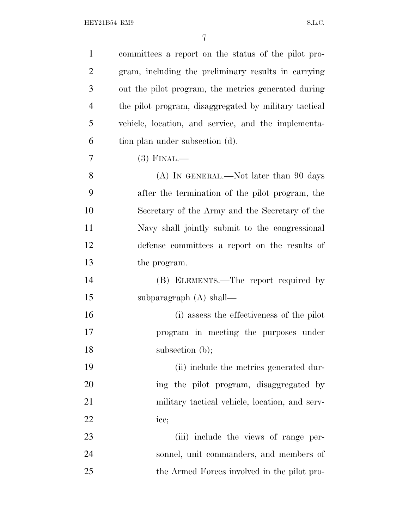| $\mathbf{1}$   | committees a report on the status of the pilot pro-   |
|----------------|-------------------------------------------------------|
| $\overline{2}$ | gram, including the preliminary results in carrying   |
| 3              | out the pilot program, the metrics generated during   |
| 4              | the pilot program, disaggregated by military tactical |
| 5              | vehicle, location, and service, and the implementa-   |
| 6              | tion plan under subsection (d).                       |
| $\overline{7}$ | $(3)$ FINAL.—                                         |
| 8              | $(A)$ In GENERAL.—Not later than 90 days              |
| 9              | after the termination of the pilot program, the       |
| 10             | Secretary of the Army and the Secretary of the        |
| 11             | Navy shall jointly submit to the congressional        |
| 12             | defense committees a report on the results of         |
| 13             | the program.                                          |
| 14             | (B) ELEMENTS.—The report required by                  |
| 15             | subparagraph $(A)$ shall—                             |
| 16             | (i) assess the effectiveness of the pilot             |
| 17             | program in meeting the purposes under                 |
| 18             | subsection (b);                                       |
| 19             | (ii) include the metrics generated dur-               |
| 20             | ing the pilot program, disaggregated by               |
| 21             | military tactical vehicle, location, and serv-        |
| 22             | ice;                                                  |
| 23             | (iii) include the views of range per-                 |
| 24             | sonnel, unit commanders, and members of               |
| 25             | the Armed Forces involved in the pilot pro-           |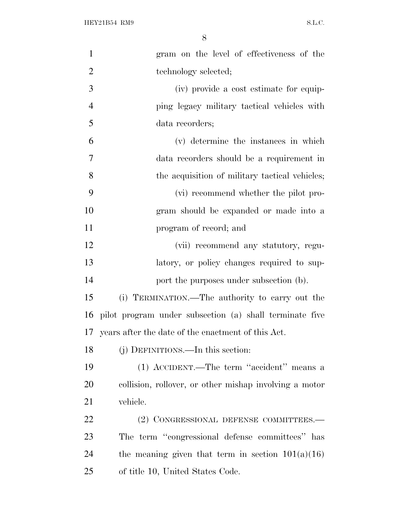| $\mathbf{1}$   | gram on the level of effectiveness of the               |
|----------------|---------------------------------------------------------|
| $\overline{2}$ | technology selected;                                    |
| 3              | (iv) provide a cost estimate for equip-                 |
| $\overline{4}$ | ping legacy military tactical vehicles with             |
| 5              | data recorders;                                         |
| 6              | (v) determine the instances in which                    |
| $\overline{7}$ | data recorders should be a requirement in               |
| 8              | the acquisition of military tactical vehicles;          |
| 9              | (vi) recommend whether the pilot pro-                   |
| 10             | gram should be expanded or made into a                  |
| 11             | program of record; and                                  |
| 12             | (vii) recommend any statutory, regu-                    |
| 13             | latory, or policy changes required to sup-              |
| 14             | port the purposes under subsection (b).                 |
| 15             | (i) TERMINATION.—The authority to carry out the         |
| 16             | pilot program under subsection (a) shall terminate five |
|                | 17 years after the date of the enactment of this Act.   |
| 18             | (j) DEFINITIONS.—In this section:                       |
| 19             | (1) ACCIDENT.—The term "accident" means a               |
| 20             | collision, rollover, or other mishap involving a motor  |
| 21             | vehicle.                                                |
| 22             | (2) CONGRESSIONAL DEFENSE COMMITTEES.-                  |
| 23             | The term "congressional defense committees" has         |
| 24             | the meaning given that term in section $101(a)(16)$     |
| 25             | of title 10, United States Code.                        |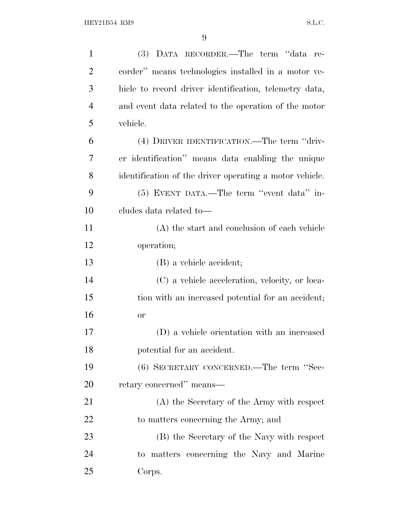| $\mathbf{1}$   | (3) DATA RECORDER.—The term "data re-                   |
|----------------|---------------------------------------------------------|
| $\overline{2}$ | corder" means technologies installed in a motor ve-     |
| 3              | hicle to record driver identification, telemetry data,  |
| $\overline{4}$ | and event data related to the operation of the motor    |
| 5              | vehicle.                                                |
| 6              | (4) DRIVER IDENTIFICATION.—The term "driv-              |
| 7              | er identification" means data enabling the unique       |
| 8              | identification of the driver operating a motor vehicle. |
| 9              | (5) EVENT DATA.—The term "event data" in-               |
| 10             | cludes data related to-                                 |
| 11             | (A) the start and conclusion of each vehicle            |
| 12             | operation;                                              |
| 13             | (B) a vehicle accident;                                 |
| 14             | (C) a vehicle acceleration, velocity, or loca-          |
| 15             | tion with an increased potential for an accident;       |
| 16             | <b>or</b>                                               |
| 17             | (D) a vehicle orientation with an increased             |
| 18             | potential for an accident.                              |
| 19             | (6) SECRETARY CONCERNED.—The term "Sec-                 |
| 20             | retary concerned" means—                                |
| 21             | (A) the Secretary of the Army with respect              |
| 22             | to matters concerning the Army; and                     |
| 23             | (B) the Secretary of the Navy with respect              |
| 24             | to matters concerning the Navy and Marine               |
| 25             | Corps.                                                  |